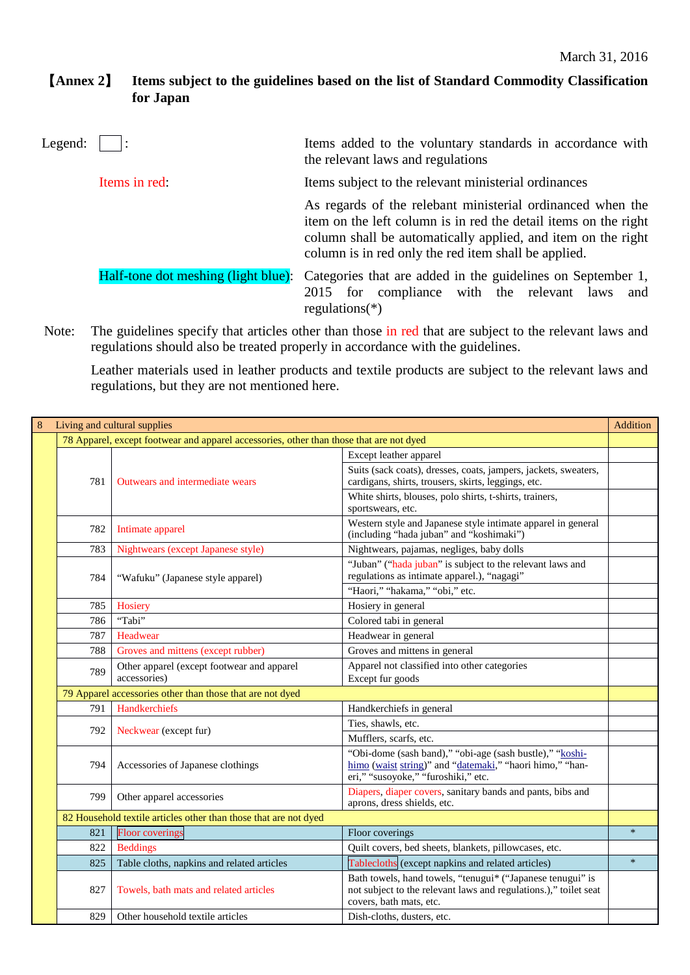## 【**Annex 2**】 **Items subject to the guidelines based on the list of Standard Commodity Classification for Japan**

| Legend: |                                     | Items added to the voluntary standards in accordance with<br>the relevant laws and regulations                                                                                                                                                        |
|---------|-------------------------------------|-------------------------------------------------------------------------------------------------------------------------------------------------------------------------------------------------------------------------------------------------------|
|         | Items in red:                       | Items subject to the relevant ministerial ordinances                                                                                                                                                                                                  |
|         |                                     | As regards of the relebant ministerial ordinanced when the<br>item on the left column is in red the detail items on the right<br>column shall be automatically applied, and item on the right<br>column is in red only the red item shall be applied. |
|         | Half-tone dot meshing (light blue): | Categories that are added in the guidelines on September 1,<br>2015 for compliance with the relevant laws and<br>regulations $(*)$                                                                                                                    |

Note: The guidelines specify that articles other than those in red that are subject to the relevant laws and regulations should also be treated properly in accordance with the guidelines.

Leather materials used in leather products and textile products are subject to the relevant laws and regulations, but they are not mentioned here.

| 8 | Living and cultural supplies                                     |                                                                                         |                                                                                                                                                             |        |  |
|---|------------------------------------------------------------------|-----------------------------------------------------------------------------------------|-------------------------------------------------------------------------------------------------------------------------------------------------------------|--------|--|
|   |                                                                  | 78 Apparel, except footwear and apparel accessories, other than those that are not dyed |                                                                                                                                                             |        |  |
|   |                                                                  |                                                                                         | Except leather apparel                                                                                                                                      |        |  |
|   | 781                                                              | Outwears and intermediate wears                                                         | Suits (sack coats), dresses, coats, jampers, jackets, sweaters,<br>cardigans, shirts, trousers, skirts, leggings, etc.                                      |        |  |
|   |                                                                  |                                                                                         | White shirts, blouses, polo shirts, t-shirts, trainers,<br>sportswears, etc.                                                                                |        |  |
|   | 782                                                              | Intimate apparel                                                                        | Western style and Japanese style intimate apparel in general<br>(including "hada juban" and "koshimaki")                                                    |        |  |
|   | 783                                                              | Nightwears (except Japanese style)                                                      | Nightwears, pajamas, negliges, baby dolls                                                                                                                   |        |  |
|   | 784                                                              | "Wafuku" (Japanese style apparel)                                                       | "Juban" ("hada juban" is subject to the relevant laws and<br>regulations as intimate apparel.), "nagagi"                                                    |        |  |
|   |                                                                  |                                                                                         | "Haori," "hakama," "obi," etc.                                                                                                                              |        |  |
|   | 785                                                              | Hosiery                                                                                 | Hosiery in general                                                                                                                                          |        |  |
|   | 786                                                              | "Tabi"                                                                                  | Colored tabi in general                                                                                                                                     |        |  |
|   | 787                                                              | Headwear                                                                                | Headwear in general                                                                                                                                         |        |  |
|   | 788                                                              | Groves and mittens (except rubber)                                                      | Groves and mittens in general                                                                                                                               |        |  |
|   | 789                                                              | Other apparel (except footwear and apparel<br>accessories)                              | Apparel not classified into other categories<br>Except fur goods                                                                                            |        |  |
|   | 79 Apparel accessories other than those that are not dyed        |                                                                                         |                                                                                                                                                             |        |  |
|   | 791                                                              | Handkerchiefs                                                                           | Handkerchiefs in general                                                                                                                                    |        |  |
|   | 792                                                              | Neckwear (except fur)                                                                   | Ties, shawls, etc.                                                                                                                                          |        |  |
|   |                                                                  |                                                                                         | Mufflers, scarfs, etc.                                                                                                                                      |        |  |
|   | 794                                                              | Accessories of Japanese clothings                                                       | "Obi-dome (sash band)," "obi-age (sash bustle)," "koshi-<br>himo (waist string)" and "datemaki," "haori himo," "han-<br>eri," "susoyoke," "furoshiki," etc. |        |  |
|   | 799                                                              | Other apparel accessories                                                               | Diapers, diaper covers, sanitary bands and pants, bibs and<br>aprons, dress shields, etc.                                                                   |        |  |
|   | 82 Household textile articles other than those that are not dyed |                                                                                         |                                                                                                                                                             |        |  |
|   | 821                                                              | <b>Floor</b> coverings                                                                  | Floor coverings                                                                                                                                             | $\ast$ |  |
|   | 822                                                              | <b>Beddings</b>                                                                         | Quilt covers, bed sheets, blankets, pillowcases, etc.                                                                                                       |        |  |
|   | 825                                                              | Table cloths, napkins and related articles                                              | Tablecloths (except napkins and related articles)                                                                                                           | $\ast$ |  |
|   | 827                                                              | Towels, bath mats and related articles                                                  | Bath towels, hand towels, "tenugui* ("Japanese tenugui" is<br>not subject to the relevant laws and regulations.)," toilet seat<br>covers, bath mats, etc.   |        |  |
|   | 829                                                              | Other household textile articles                                                        | Dish-cloths, dusters, etc.                                                                                                                                  |        |  |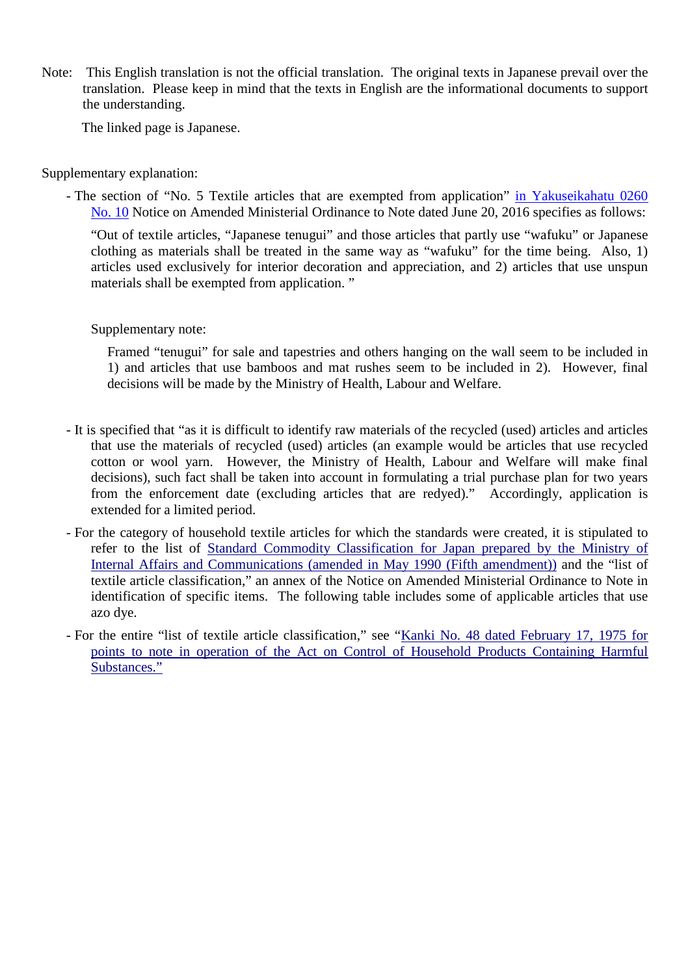Note: This English translation is not the official translation. The original texts in Japanese prevail over the translation. Please keep in mind that the texts in English are the informational documents to support the understanding.

The linked page is Japanese.

Supplementary explanation:

- The section of "No. 5 Textile articles that are exempted from application" in Yakuseikahatu 0260 No. 10 Notice on Amended Ministerial Ordinance to Note dated June 20, 2016 specifies as follows:

"Out of textile articles, "Japanese tenugui" and those articles that partly use "wafuku" or Japanese clothing as materials shall be treated in the same way as "wafuku" for the time being. Also, 1) articles used exclusively for interior decoration and appreciation, and 2) articles that use unspun materials shall be exempted from application. "

Supplementary note:

Framed "tenugui" for sale and tapestries and others hanging on the wall seem to be included in 1) and articles that use bamboos and mat rushes seem to be included in 2). However, final decisions will be made by the Ministry of Health, Labour and Welfare.

- It is specified that "as it is difficult to identify raw materials of the recycled (used) articles and articles that use the materials of recycled (used) articles (an example would be articles that use recycled cotton or wool yarn. However, the Ministry of Health, Labour and Welfare will make final decisions), such fact shall be taken into account in formulating a trial purchase plan for two years from the enforcement date (excluding articles that are redyed)." Accordingly, application is extended for a limited period.
- For the category of household textile articles for which the standards were created, it is stipulated to refer to the list of Standard Commodity Classification for Japan prepared by the Ministry of Internal Affairs and Communications (amended in May 1990 (Fifth amendment)) and the "list of textile article classification," an annex of the Notice on Amended Ministerial Ordinance to Note in identification of specific items. The following table includes some of applicable articles that use azo dye.
- For the entire "list of textile article classification," see "Kanki No. 48 dated February 17, 1975 for points to note in operation of the Act on Control of Household Products Containing Harmful Substances."